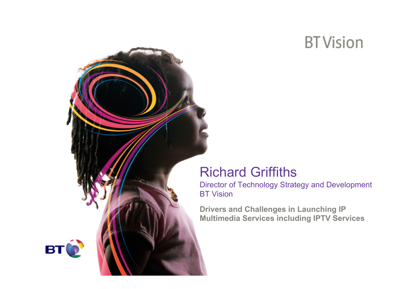## **BT** Vision

### Richard Griffiths

Director of Technology Strategy and Development BT Vision

**Drivers and Challenges in Launching IP Multimedia Services including IPTV Services**

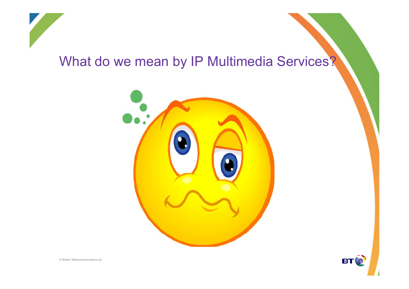

### What do we mean by IP Multimedia Services?





© British Telecommunications plc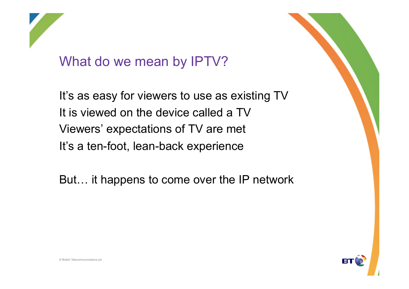

### What do we mean by IPTV?

It's as easy for viewers to use as existing TV It is viewed on the device called a TV Viewers' expectations of TV are met It's a ten-foot, lean-back experience

But… it happens to come over the IP network

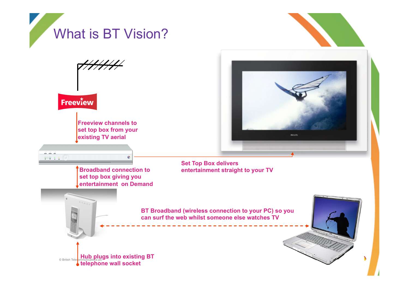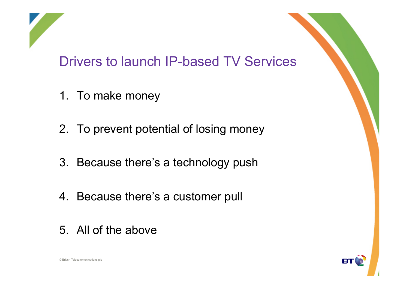

- 1. To make money
- 2. To prevent potential of losing money
- 3. Because there's a technology push
- 4. Because there's a customer pull
- 5. All of the above

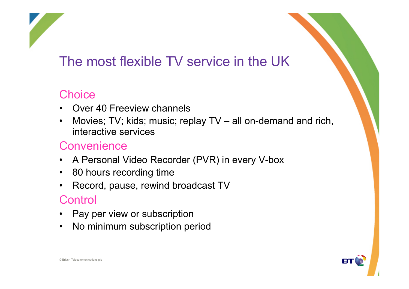## The most flexible TV service in the UK

#### **Choice**

- Over 40 Freeview channels
- Movies; TV; kids; music; replay TV all on-demand and rich, interactive services

#### **Convenience**

- A Personal Video Recorder (PVR) in every V-box
- 80 hours recording time
- Record, pause, rewind broadcast TV

#### **Control**

- Pay per view or subscription
- No minimum subscription period

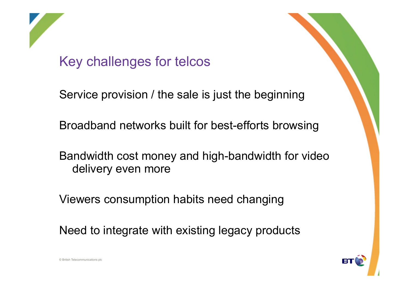

Key challenges for telcos

Service provision / the sale is just the beginning

Broadband networks built for best-efforts browsing

Bandwidth cost money and high-bandwidth for video delivery even more

Viewers consumption habits need changing

Need to integrate with existing legacy products

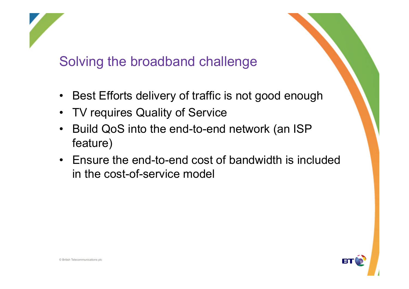

### Solving the broadband challenge

- Best Efforts delivery of traffic is not good enough
- TV requires Quality of Service
- Build QoS into the end-to-end network (an ISP feature)
- Ensure the end-to-end cost of bandwidth is included in the cost-of-service model

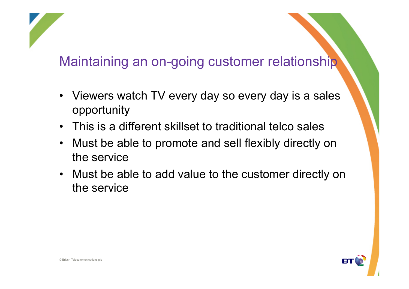## Maintaining an on-going customer relationship

- Viewers watch TV every day so every day is a sales opportunity
- This is a different skillset to traditional telco sales
- Must be able to promote and sell flexibly directly on the service
- Must be able to add value to the customer directly on the service

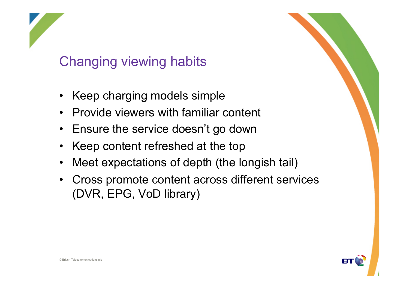## Changing viewing habits

- Keep charging models simple
- Provide viewers with familiar content
- Ensure the service doesn't go down
- Keep content refreshed at the top
- Meet expectations of depth (the longish tail)
- Cross promote content across different services (DVR, EPG, VoD library)

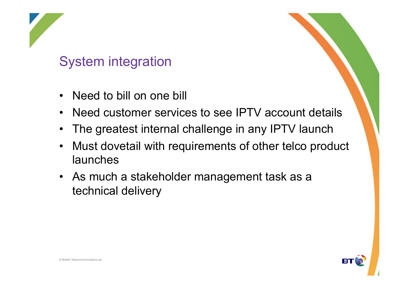## System integration

- Need to bill on one bill
- Need customer services to see IPTV account details
- The greatest internal challenge in any IPTV launch
- Must dovetail with requirements of other telco product launches
- As much a stakeholder management task as a technical delivery